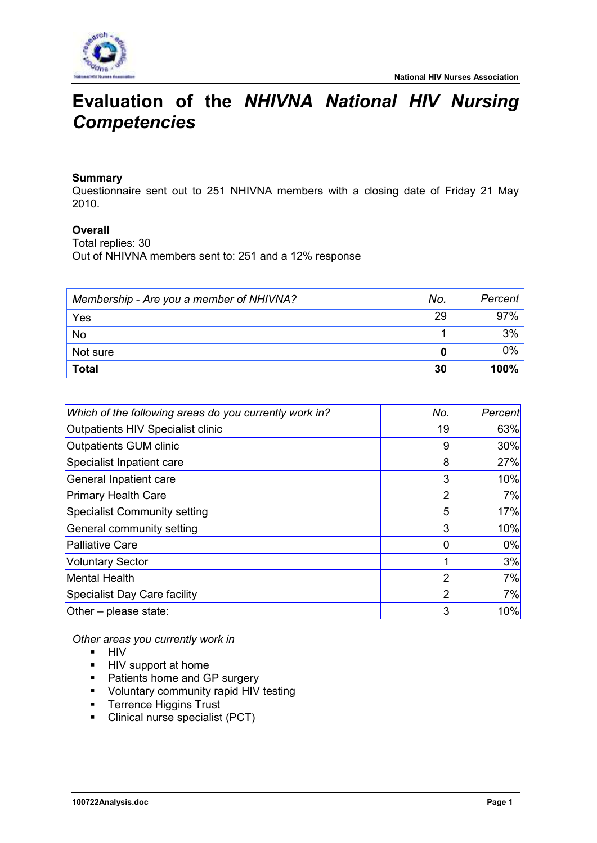

# **Evaluation of the** *NHIVNA National HIV Nursing Competencies*

## **Summary**

Questionnaire sent out to 251 NHIVNA members with a closing date of Friday 21 May 2010.

## **Overall**

Total replies: 30 Out of NHIVNA members sent to: 251 and a 12% response

| Membership - Are you a member of NHIVNA? | No. | Percent |
|------------------------------------------|-----|---------|
| Yes                                      | 29  | 97%     |
| No                                       |     | 3%      |
| Not sure                                 |     | 0%      |
| <b>Total</b>                             | 30  | 100%    |

| Which of the following areas do you currently work in? | No. | Percent |
|--------------------------------------------------------|-----|---------|
| Outpatients HIV Specialist clinic                      | 19  | 63%     |
| <b>Outpatients GUM clinic</b>                          | 9   | 30%     |
| Specialist Inpatient care                              | 8   | 27%     |
| General Inpatient care                                 | 3   | 10%     |
| <b>Primary Health Care</b>                             | 2   | 7%      |
| <b>Specialist Community setting</b>                    | 5   | 17%     |
| General community setting                              | 3   | 10%     |
| <b>Palliative Care</b>                                 |     | 0%      |
| <b>Voluntary Sector</b>                                |     | 3%      |
| <b>Mental Health</b>                                   |     | 7%      |
| Specialist Day Care facility                           | າ   | 7%      |
| Other $-$ please state:                                | 3   | 10%     |

*Other areas you currently work in* 

- **HIV**
- **HIV** support at home
- Patients home and GP surgery
- **•** Voluntary community rapid HIV testing
- **Terrence Higgins Trust**
- Clinical nurse specialist (PCT)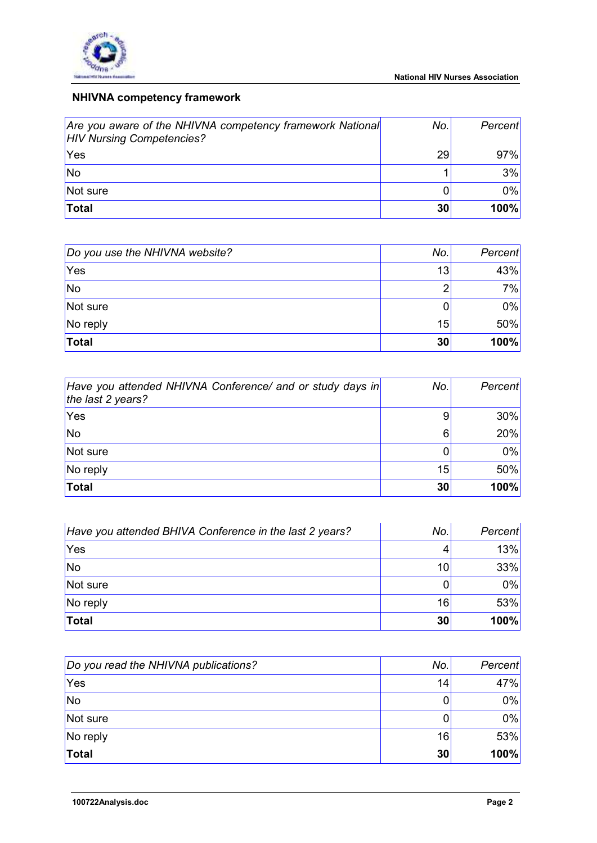

# **NHIVNA competency framework**

| Are you aware of the NHIVNA competency framework National<br><b>HIV Nursing Competencies?</b> | No.l | Percent     |
|-----------------------------------------------------------------------------------------------|------|-------------|
| Yes                                                                                           | 29   | 97%         |
| No                                                                                            |      | 3%          |
| Not sure                                                                                      |      | $0\%$       |
| Total                                                                                         | 30   | <b>100%</b> |

| Do you use the NHIVNA website? | No.            | Percent |
|--------------------------------|----------------|---------|
| <b>Yes</b>                     | 13             | 43%     |
| <b>No</b>                      | $\overline{2}$ | 7%      |
| Not sure                       |                | 0%      |
| No reply                       | 15             | 50%     |
| Total                          | 30             | 100%    |

| Have you attended NHIVNA Conference/ and or study days in<br>the last 2 years? | No. | Percent |
|--------------------------------------------------------------------------------|-----|---------|
| Yes                                                                            | 9   | 30%     |
| <b>No</b>                                                                      | 6   | 20%     |
| Not sure                                                                       |     | 0%      |
| No reply                                                                       | 15  | 50%     |
| Total                                                                          | 30  | 100%    |

| Have you attended BHIVA Conference in the last 2 years? | No. | Percent |
|---------------------------------------------------------|-----|---------|
| <b>Yes</b>                                              | 4   | 13%     |
| <b>No</b>                                               | 10  | 33%     |
| Not sure                                                |     | 0%      |
| No reply                                                | 16  | 53%     |
| Total                                                   | 30  | 100%    |

| Do you read the NHIVNA publications? | No. | Percent     |
|--------------------------------------|-----|-------------|
| <b>Yes</b>                           | 14  | 47%         |
| <b>No</b>                            | 0   | 0%          |
| Not sure                             | 0   | 0%          |
| No reply                             | 16  | 53%         |
| Total                                | 30  | <b>100%</b> |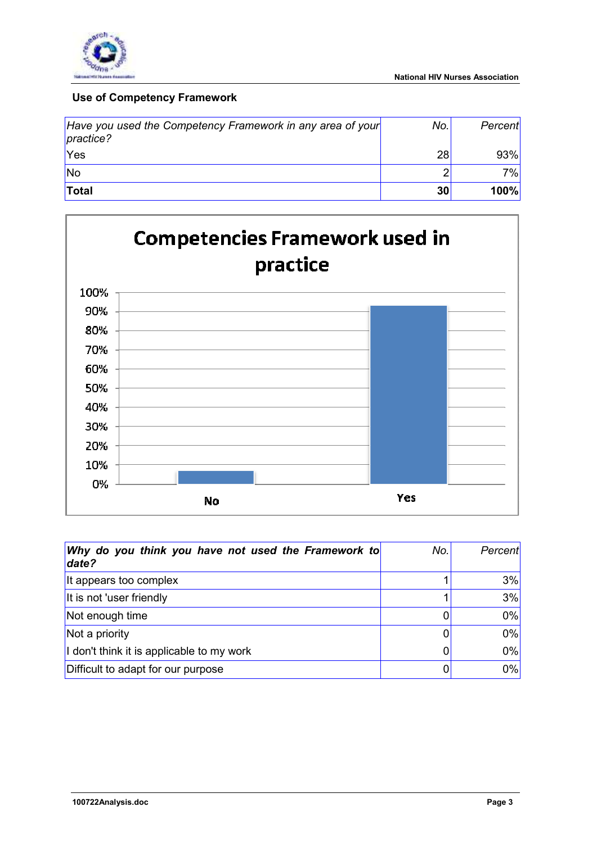

## **Use of Competency Framework**

| Have you used the Competency Framework in any area of your<br>practice? | No. | Percent |
|-------------------------------------------------------------------------|-----|---------|
| 'Yes                                                                    | 28  | 93%     |
| lNo                                                                     | ◠   | 7%      |
| Total                                                                   | 30  | 100%    |



| Why do you think you have not used the Framework to<br>date? | No. | Percent |
|--------------------------------------------------------------|-----|---------|
| It appears too complex                                       |     | 3%      |
| It is not 'user friendly                                     |     | 3%      |
| Not enough time                                              | 0   | 0%      |
| Not a priority                                               | 0   | 0%      |
| I don't think it is applicable to my work                    | 0   | 0%      |
| Difficult to adapt for our purpose                           | 0   | 0%      |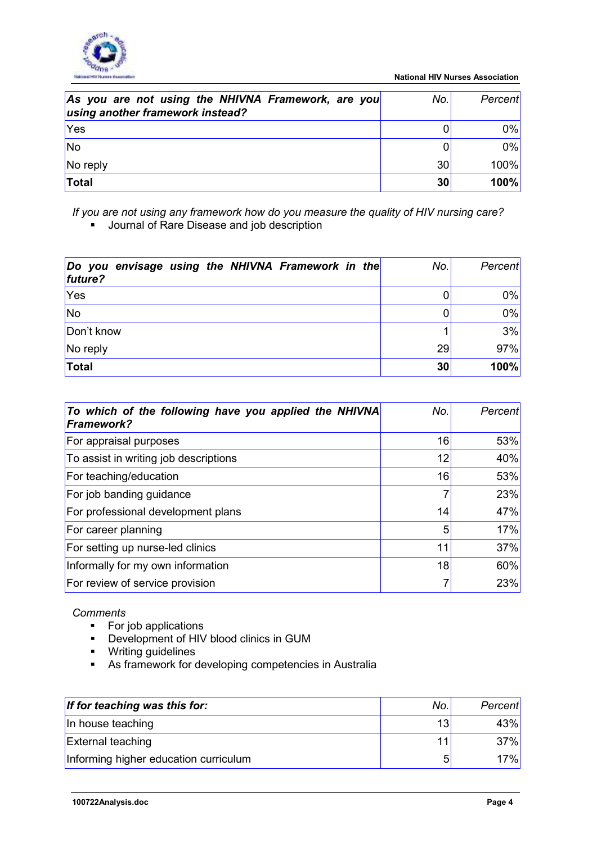

| As you are not using the NHIVNA Framework, are you<br>using another framework instead? | No.l | Percent     |
|----------------------------------------------------------------------------------------|------|-------------|
| <b>Yes</b>                                                                             |      | 0%          |
| <b>No</b>                                                                              |      | 0%          |
| No reply                                                                               | 30   | <b>100%</b> |
| Total                                                                                  | 30   | 100%        |

*If you are not using any framework how do you measure the quality of HIV nursing care?*  **Journal of Rare Disease and job description** 

| Do you envisage using the NHIVNA Framework in the<br>future? | No. | Percent |
|--------------------------------------------------------------|-----|---------|
| <b>Yes</b>                                                   |     | 0%      |
| <b>No</b>                                                    |     | 0%      |
| Don't know                                                   |     | 3%      |
| No reply                                                     | 29  | 97%     |
| Total                                                        | 30  | 100%    |

| To which of the following have you applied the NHIVNA<br><b>Framework?</b> | No.            | Percent |
|----------------------------------------------------------------------------|----------------|---------|
| For appraisal purposes                                                     | 16             | 53%     |
| To assist in writing job descriptions                                      | 12             | 40%     |
| For teaching/education                                                     | 16             | 53%     |
| For job banding guidance                                                   | $\overline{7}$ | 23%     |
| For professional development plans                                         | 14             | 47%     |
| For career planning                                                        | 5              | 17%     |
| For setting up nurse-led clinics                                           | 11             | 37%     |
| Informally for my own information                                          | 18             | 60%     |
| For review of service provision                                            | 7              | 23%     |

## *Comments*

- For job applications
- Development of HIV blood clinics in GUM
- **•** Writing guidelines
- As framework for developing competencies in Australia

| If for teaching was this for:         | No.             | Percent |
|---------------------------------------|-----------------|---------|
| In house teaching                     | 13 <sub>l</sub> | 43%     |
| <b>External teaching</b>              |                 | 37%     |
| Informing higher education curriculum | 5               | 17%I    |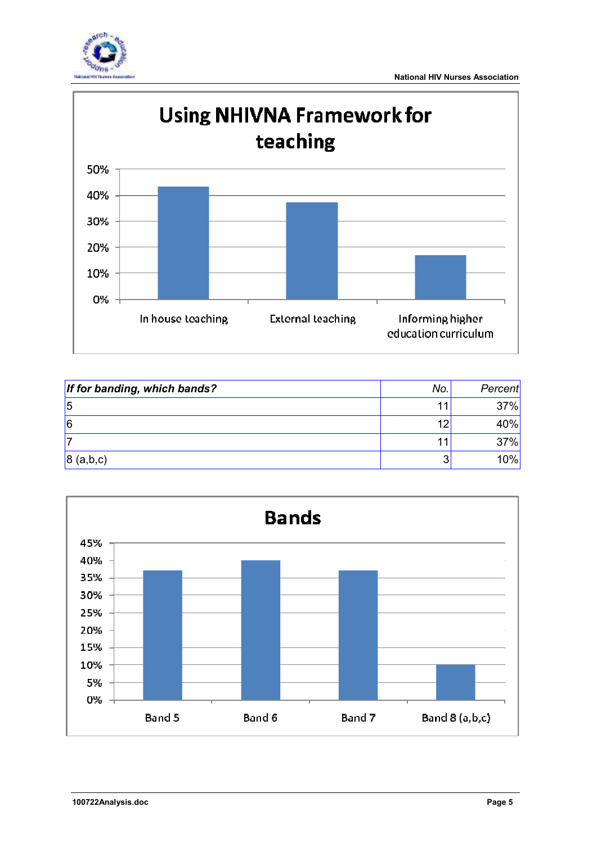



| If for banding, which bands? | No. | Percent |
|------------------------------|-----|---------|
| 5                            |     | 37%     |
| 16                           | 12  | 40%     |
|                              |     | 37%     |
| 8(a,b,c)                     | ລ   | 10%     |

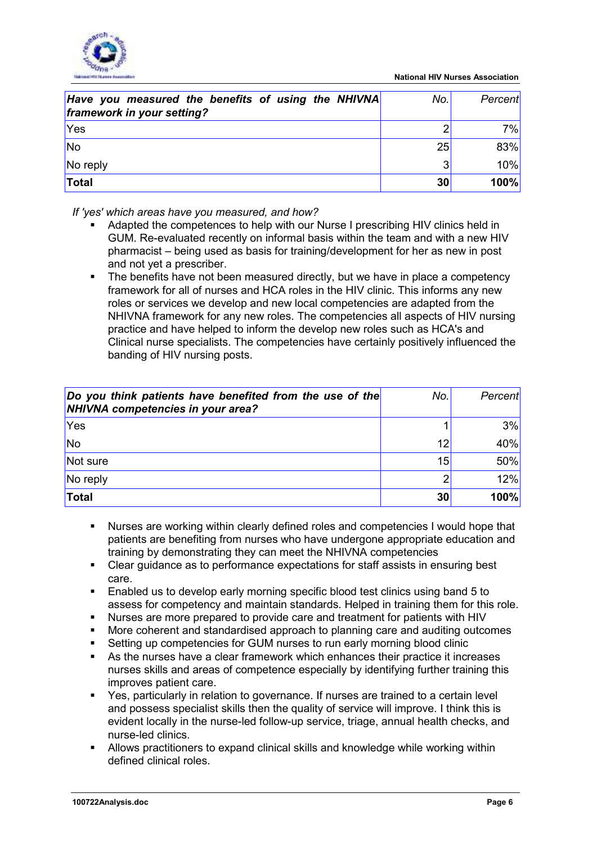

| Have you measured the benefits of using the NHIVNA<br>framework in your setting? | No.l | Percent |
|----------------------------------------------------------------------------------|------|---------|
| <b>Yes</b>                                                                       |      | 7%      |
| <b>No</b>                                                                        | 25   | 83%     |
| No reply                                                                         | 3    | 10%     |
| Total                                                                            | 30   | 100%    |

*If 'yes' which areas have you measured, and how?* 

- Adapted the competences to help with our Nurse I prescribing HIV clinics held in GUM. Re-evaluated recently on informal basis within the team and with a new HIV pharmacist – being used as basis for training/development for her as new in post and not yet a prescriber.
- The benefits have not been measured directly, but we have in place a competency framework for all of nurses and HCA roles in the HIV clinic. This informs any new roles or services we develop and new local competencies are adapted from the NHIVNA framework for any new roles. The competencies all aspects of HIV nursing practice and have helped to inform the develop new roles such as HCA's and Clinical nurse specialists. The competencies have certainly positively influenced the banding of HIV nursing posts.

| Do you think patients have benefited from the use of the<br>NHIVNA competencies in your area? | No. | Percent |
|-----------------------------------------------------------------------------------------------|-----|---------|
| Yes                                                                                           |     | 3%      |
| <b>No</b>                                                                                     | 12  | 40%     |
| Not sure                                                                                      | 15  | 50%     |
| No reply                                                                                      | ⌒   | 12%     |
| Total                                                                                         | 30  | 100%    |

- Nurses are working within clearly defined roles and competencies I would hope that patients are benefiting from nurses who have undergone appropriate education and training by demonstrating they can meet the NHIVNA competencies
- Clear guidance as to performance expectations for staff assists in ensuring best care.
- Enabled us to develop early morning specific blood test clinics using band 5 to assess for competency and maintain standards. Helped in training them for this role.
- Nurses are more prepared to provide care and treatment for patients with HIV
- More coherent and standardised approach to planning care and auditing outcomes
- Setting up competencies for GUM nurses to run early morning blood clinic
- As the nurses have a clear framework which enhances their practice it increases nurses skills and areas of competence especially by identifying further training this improves patient care.
- Yes, particularly in relation to governance. If nurses are trained to a certain level and possess specialist skills then the quality of service will improve. I think this is evident locally in the nurse-led follow-up service, triage, annual health checks, and nurse-led clinics.
- Allows practitioners to expand clinical skills and knowledge while working within defined clinical roles.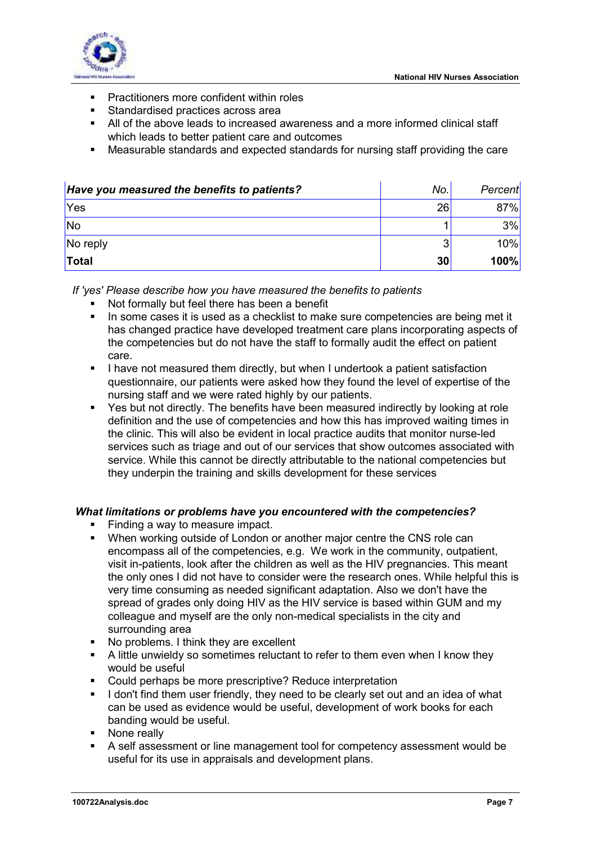

- **•** Practitioners more confident within roles
- **Standardised practices across area**
- All of the above leads to increased awareness and a more informed clinical staff which leads to better patient care and outcomes
- Measurable standards and expected standards for nursing staff providing the care

| Have you measured the benefits to patients? | No. | Percent |
|---------------------------------------------|-----|---------|
| <b>Yes</b>                                  | 26  | 87%     |
| <b>No</b>                                   |     | 3%      |
| No reply                                    | 3   | 10%     |
| Total                                       | 30  | 100%    |

*If 'yes' Please describe how you have measured the benefits to patients* 

- Not formally but feel there has been a benefit
- In some cases it is used as a checklist to make sure competencies are being met it has changed practice have developed treatment care plans incorporating aspects of the competencies but do not have the staff to formally audit the effect on patient care.
- I have not measured them directly, but when I undertook a patient satisfaction questionnaire, our patients were asked how they found the level of expertise of the nursing staff and we were rated highly by our patients.
- Yes but not directly. The benefits have been measured indirectly by looking at role definition and the use of competencies and how this has improved waiting times in the clinic. This will also be evident in local practice audits that monitor nurse-led services such as triage and out of our services that show outcomes associated with service. While this cannot be directly attributable to the national competencies but they underpin the training and skills development for these services

## *What limitations or problems have you encountered with the competencies?*

- Finding a way to measure impact.
- When working outside of London or another major centre the CNS role can encompass all of the competencies, e.g. We work in the community, outpatient, visit in-patients, look after the children as well as the HIV pregnancies. This meant the only ones I did not have to consider were the research ones. While helpful this is very time consuming as needed significant adaptation. Also we don't have the spread of grades only doing HIV as the HIV service is based within GUM and my colleague and myself are the only non-medical specialists in the city and surrounding area
- No problems. I think they are excellent
- A little unwieldy so sometimes reluctant to refer to them even when I know they would be useful
- Could perhaps be more prescriptive? Reduce interpretation
- I don't find them user friendly, they need to be clearly set out and an idea of what can be used as evidence would be useful, development of work books for each banding would be useful.
- None really
- A self assessment or line management tool for competency assessment would be useful for its use in appraisals and development plans.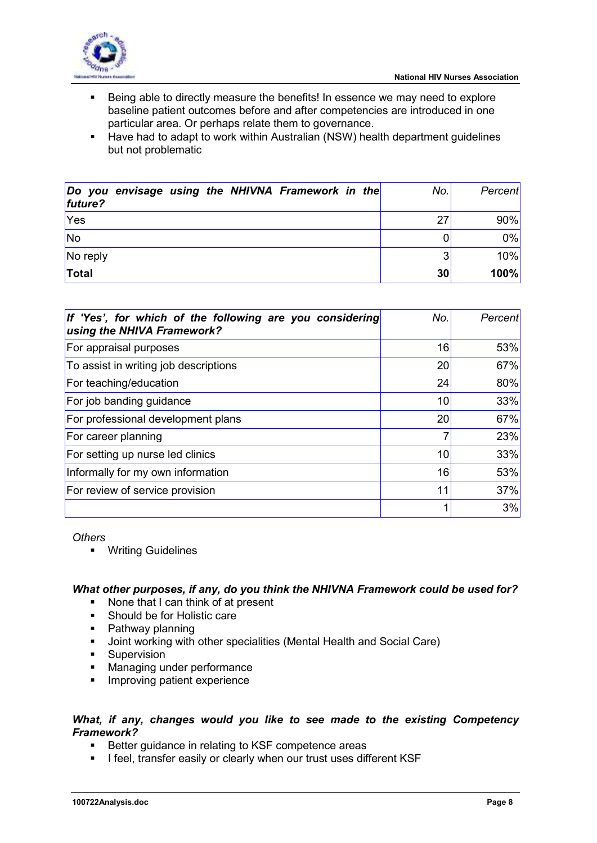

- Being able to directly measure the benefits! In essence we may need to explore baseline patient outcomes before and after competencies are introduced in one particular area. Or perhaps relate them to governance.
- **Have had to adapt to work within Australian (NSW) health department guidelines** but not problematic

| Do you envisage using the NHIVNA Framework in the<br>future? | No. | Percent |
|--------------------------------------------------------------|-----|---------|
| Yes                                                          | 27  | 90%     |
| <b>No</b>                                                    |     | 0%      |
| No reply                                                     | 3   | 10%     |
| Total                                                        | 30  | 100%    |

| If 'Yes', for which of the following are you considering<br>using the NHIVA Framework? | No. | Percent |
|----------------------------------------------------------------------------------------|-----|---------|
| For appraisal purposes                                                                 | 16  | 53%     |
| To assist in writing job descriptions                                                  | 20  | 67%     |
| For teaching/education                                                                 | 24  | 80%     |
| For job banding guidance                                                               | 10  | 33%     |
| For professional development plans                                                     | 20  | 67%     |
| For career planning                                                                    | 7   | 23%     |
| For setting up nurse led clinics                                                       | 10  | 33%     |
| Informally for my own information                                                      | 16  | 53%     |
| For review of service provision                                                        | 11  | 37%     |
|                                                                                        |     | 3%      |

*Others* 

**•** Writing Guidelines

## *What other purposes, if any, do you think the NHIVNA Framework could be used for?*

- None that I can think of at present
- **Should be for Holistic care**
- Pathway planning
- Joint working with other specialities (Mental Health and Social Care)
- **Supervision**
- Managing under performance
- **Improving patient experience**

## *What, if any, changes would you like to see made to the existing Competency Framework?*

- Better guidance in relating to KSF competence areas
- **I** feel, transfer easily or clearly when our trust uses different KSF